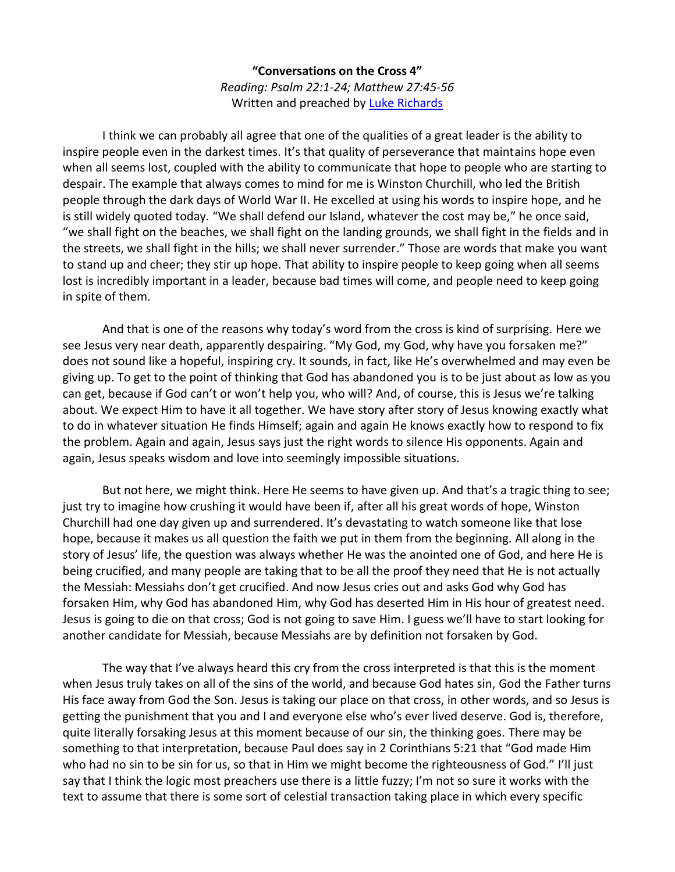**"Conversations on the Cross 4"** *Reading: Psalm 22:1-24; Matthew 27:45-56* Written and preached by [Luke Richards](http://www.lukerichards.blogspot.com/)

I think we can probably all agree that one of the qualities of a great leader is the ability to inspire people even in the darkest times. It's that quality of perseverance that maintains hope even when all seems lost, coupled with the ability to communicate that hope to people who are starting to despair. The example that always comes to mind for me is Winston Churchill, who led the British people through the dark days of World War II. He excelled at using his words to inspire hope, and he is still widely quoted today. "We shall defend our Island, whatever the cost may be," he once said, "we shall fight on the beaches, we shall fight on the landing grounds, we shall fight in the fields and in the streets, we shall fight in the hills; we shall never surrender." Those are words that make you want to stand up and cheer; they stir up hope. That ability to inspire people to keep going when all seems lost is incredibly important in a leader, because bad times will come, and people need to keep going in spite of them.

And that is one of the reasons why today's word from the cross is kind of surprising. Here we see Jesus very near death, apparently despairing. "My God, my God, why have you forsaken me?" does not sound like a hopeful, inspiring cry. It sounds, in fact, like He's overwhelmed and may even be giving up. To get to the point of thinking that God has abandoned you is to be just about as low as you can get, because if God can't or won't help you, who will? And, of course, this is Jesus we're talking about. We expect Him to have it all together. We have story after story of Jesus knowing exactly what to do in whatever situation He finds Himself; again and again He knows exactly how to respond to fix the problem. Again and again, Jesus says just the right words to silence His opponents. Again and again, Jesus speaks wisdom and love into seemingly impossible situations.

But not here, we might think. Here He seems to have given up. And that's a tragic thing to see; just try to imagine how crushing it would have been if, after all his great words of hope, Winston Churchill had one day given up and surrendered. It's devastating to watch someone like that lose hope, because it makes us all question the faith we put in them from the beginning. All along in the story of Jesus' life, the question was always whether He was the anointed one of God, and here He is being crucified, and many people are taking that to be all the proof they need that He is not actually the Messiah: Messiahs don't get crucified. And now Jesus cries out and asks God why God has forsaken Him, why God has abandoned Him, why God has deserted Him in His hour of greatest need. Jesus is going to die on that cross; God is not going to save Him. I guess we'll have to start looking for another candidate for Messiah, because Messiahs are by definition not forsaken by God.

The way that I've always heard this cry from the cross interpreted is that this is the moment when Jesus truly takes on all of the sins of the world, and because God hates sin, God the Father turns His face away from God the Son. Jesus is taking our place on that cross, in other words, and so Jesus is getting the punishment that you and I and everyone else who's ever lived deserve. God is, therefore, quite literally forsaking Jesus at this moment because of our sin, the thinking goes. There may be something to that interpretation, because Paul does say in 2 Corinthians 5:21 that "God made Him who had no sin to be sin for us, so that in Him we might become the righteousness of God." I'll just say that I think the logic most preachers use there is a little fuzzy; I'm not so sure it works with the text to assume that there is some sort of celestial transaction taking place in which every specific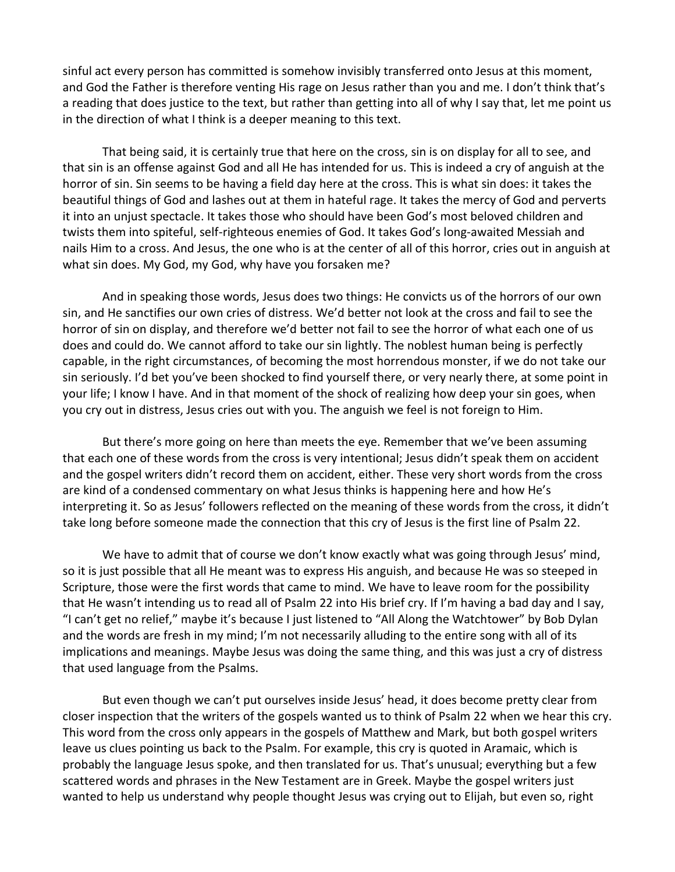sinful act every person has committed is somehow invisibly transferred onto Jesus at this moment, and God the Father is therefore venting His rage on Jesus rather than you and me. I don't think that's a reading that does justice to the text, but rather than getting into all of why I say that, let me point us in the direction of what I think is a deeper meaning to this text.

That being said, it is certainly true that here on the cross, sin is on display for all to see, and that sin is an offense against God and all He has intended for us. This is indeed a cry of anguish at the horror of sin. Sin seems to be having a field day here at the cross. This is what sin does: it takes the beautiful things of God and lashes out at them in hateful rage. It takes the mercy of God and perverts it into an unjust spectacle. It takes those who should have been God's most beloved children and twists them into spiteful, self-righteous enemies of God. It takes God's long-awaited Messiah and nails Him to a cross. And Jesus, the one who is at the center of all of this horror, cries out in anguish at what sin does. My God, my God, why have you forsaken me?

And in speaking those words, Jesus does two things: He convicts us of the horrors of our own sin, and He sanctifies our own cries of distress. We'd better not look at the cross and fail to see the horror of sin on display, and therefore we'd better not fail to see the horror of what each one of us does and could do. We cannot afford to take our sin lightly. The noblest human being is perfectly capable, in the right circumstances, of becoming the most horrendous monster, if we do not take our sin seriously. I'd bet you've been shocked to find yourself there, or very nearly there, at some point in your life; I know I have. And in that moment of the shock of realizing how deep your sin goes, when you cry out in distress, Jesus cries out with you. The anguish we feel is not foreign to Him.

But there's more going on here than meets the eye. Remember that we've been assuming that each one of these words from the cross is very intentional; Jesus didn't speak them on accident and the gospel writers didn't record them on accident, either. These very short words from the cross are kind of a condensed commentary on what Jesus thinks is happening here and how He's interpreting it. So as Jesus' followers reflected on the meaning of these words from the cross, it didn't take long before someone made the connection that this cry of Jesus is the first line of Psalm 22.

We have to admit that of course we don't know exactly what was going through Jesus' mind, so it is just possible that all He meant was to express His anguish, and because He was so steeped in Scripture, those were the first words that came to mind. We have to leave room for the possibility that He wasn't intending us to read all of Psalm 22 into His brief cry. If I'm having a bad day and I say, "I can't get no relief," maybe it's because I just listened to "All Along the Watchtower" by Bob Dylan and the words are fresh in my mind; I'm not necessarily alluding to the entire song with all of its implications and meanings. Maybe Jesus was doing the same thing, and this was just a cry of distress that used language from the Psalms.

But even though we can't put ourselves inside Jesus' head, it does become pretty clear from closer inspection that the writers of the gospels wanted us to think of Psalm 22 when we hear this cry. This word from the cross only appears in the gospels of Matthew and Mark, but both gospel writers leave us clues pointing us back to the Psalm. For example, this cry is quoted in Aramaic, which is probably the language Jesus spoke, and then translated for us. That's unusual; everything but a few scattered words and phrases in the New Testament are in Greek. Maybe the gospel writers just wanted to help us understand why people thought Jesus was crying out to Elijah, but even so, right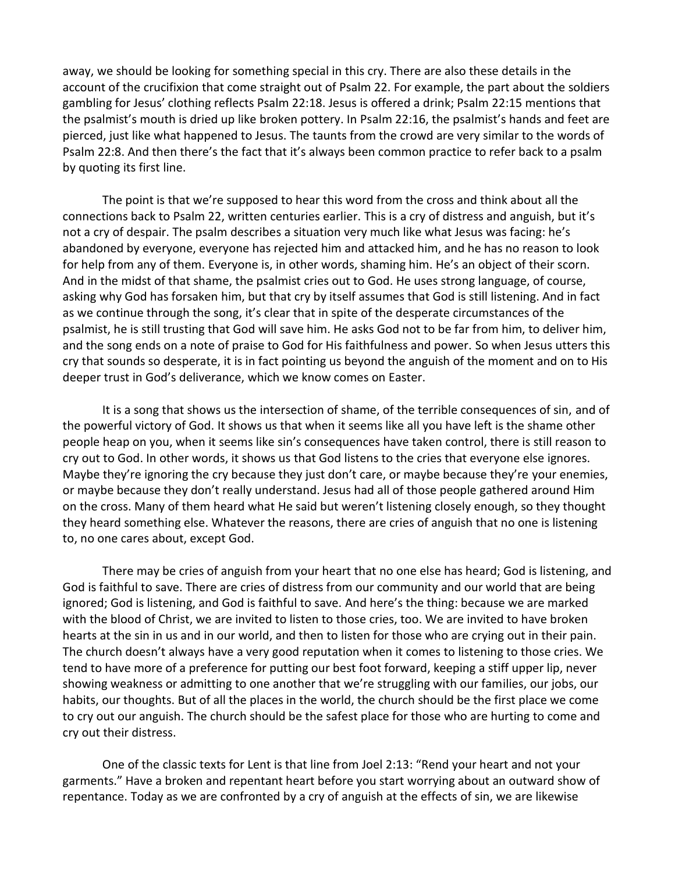away, we should be looking for something special in this cry. There are also these details in the account of the crucifixion that come straight out of Psalm 22. For example, the part about the soldiers gambling for Jesus' clothing reflects Psalm 22:18. Jesus is offered a drink; Psalm 22:15 mentions that the psalmist's mouth is dried up like broken pottery. In Psalm 22:16, the psalmist's hands and feet are pierced, just like what happened to Jesus. The taunts from the crowd are very similar to the words of Psalm 22:8. And then there's the fact that it's always been common practice to refer back to a psalm by quoting its first line.

The point is that we're supposed to hear this word from the cross and think about all the connections back to Psalm 22, written centuries earlier. This is a cry of distress and anguish, but it's not a cry of despair. The psalm describes a situation very much like what Jesus was facing: he's abandoned by everyone, everyone has rejected him and attacked him, and he has no reason to look for help from any of them. Everyone is, in other words, shaming him. He's an object of their scorn. And in the midst of that shame, the psalmist cries out to God. He uses strong language, of course, asking why God has forsaken him, but that cry by itself assumes that God is still listening. And in fact as we continue through the song, it's clear that in spite of the desperate circumstances of the psalmist, he is still trusting that God will save him. He asks God not to be far from him, to deliver him, and the song ends on a note of praise to God for His faithfulness and power. So when Jesus utters this cry that sounds so desperate, it is in fact pointing us beyond the anguish of the moment and on to His deeper trust in God's deliverance, which we know comes on Easter.

It is a song that shows us the intersection of shame, of the terrible consequences of sin, and of the powerful victory of God. It shows us that when it seems like all you have left is the shame other people heap on you, when it seems like sin's consequences have taken control, there is still reason to cry out to God. In other words, it shows us that God listens to the cries that everyone else ignores. Maybe they're ignoring the cry because they just don't care, or maybe because they're your enemies, or maybe because they don't really understand. Jesus had all of those people gathered around Him on the cross. Many of them heard what He said but weren't listening closely enough, so they thought they heard something else. Whatever the reasons, there are cries of anguish that no one is listening to, no one cares about, except God.

There may be cries of anguish from your heart that no one else has heard; God is listening, and God is faithful to save. There are cries of distress from our community and our world that are being ignored; God is listening, and God is faithful to save. And here's the thing: because we are marked with the blood of Christ, we are invited to listen to those cries, too. We are invited to have broken hearts at the sin in us and in our world, and then to listen for those who are crying out in their pain. The church doesn't always have a very good reputation when it comes to listening to those cries. We tend to have more of a preference for putting our best foot forward, keeping a stiff upper lip, never showing weakness or admitting to one another that we're struggling with our families, our jobs, our habits, our thoughts. But of all the places in the world, the church should be the first place we come to cry out our anguish. The church should be the safest place for those who are hurting to come and cry out their distress.

One of the classic texts for Lent is that line from Joel 2:13: "Rend your heart and not your garments." Have a broken and repentant heart before you start worrying about an outward show of repentance. Today as we are confronted by a cry of anguish at the effects of sin, we are likewise